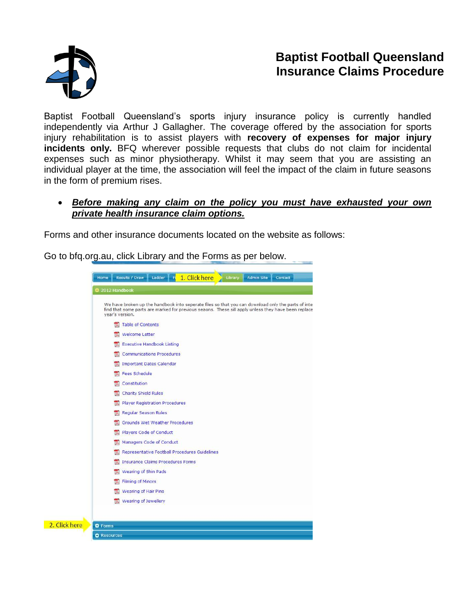

## **Baptist Football Queensland Insurance Claims Procedure**

Baptist Football Queensland's sports injury insurance policy is currently handled independently via Arthur J Gallagher. The coverage offered by the association for sports injury rehabilitation is to assist players with **recovery of expenses for major injury incidents only.** BFQ wherever possible requests that clubs do not claim for incidental expenses such as minor physiotherapy. Whilst it may seem that you are assisting an individual player at the time, the association will feel the impact of the claim in future seasons in the form of premium rises.

## *Before making any claim on the policy you must have exhausted your own private health insurance claim options.*

Forms and other insurance documents located on the website as follows:

Go to bfq.org.au, click Library and the Forms as per below.